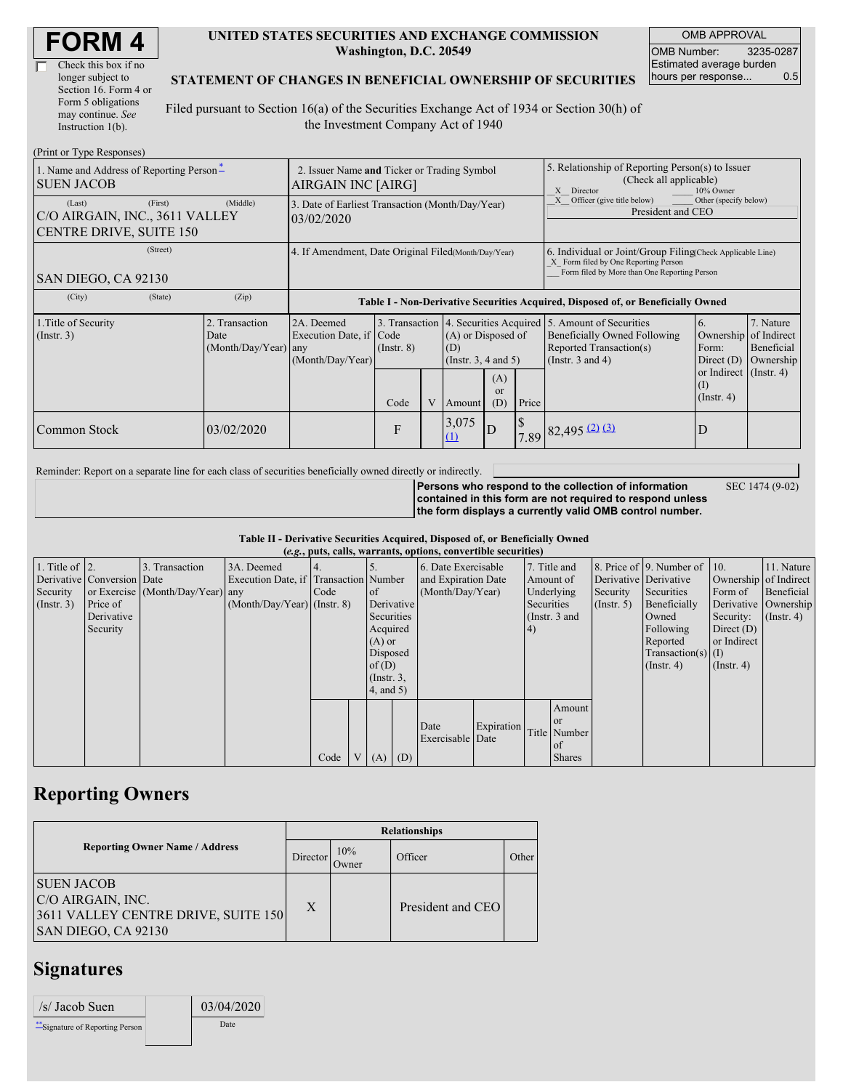| <b>FORM4</b> |
|--------------|
|--------------|

| Check this box if no  |
|-----------------------|
| longer subject to     |
| Section 16. Form 4 or |
| Form 5 obligations    |
| may continue. See     |
| Instruction 1(b).     |

#### **UNITED STATES SECURITIES AND EXCHANGE COMMISSION Washington, D.C. 20549**

OMB APPROVAL OMB Number: 3235-0287 Estimated average burden hours per response... 0.5

SEC 1474 (9-02)

#### **STATEMENT OF CHANGES IN BENEFICIAL OWNERSHIP OF SECURITIES**

Filed pursuant to Section 16(a) of the Securities Exchange Act of 1934 or Section 30(h) of the Investment Company Act of 1940

| (Print or Type Responses)                                                      |                                                                   |                                                                                  |                 |   |                                                       |                             |                                                                                                                                                    |                                                                                                                                                   |                                                      |                                                     |  |
|--------------------------------------------------------------------------------|-------------------------------------------------------------------|----------------------------------------------------------------------------------|-----------------|---|-------------------------------------------------------|-----------------------------|----------------------------------------------------------------------------------------------------------------------------------------------------|---------------------------------------------------------------------------------------------------------------------------------------------------|------------------------------------------------------|-----------------------------------------------------|--|
| 1. Name and Address of Reporting Person-<br><b>SUEN JACOB</b>                  | 2. Issuer Name and Ticker or Trading Symbol<br>AIRGAIN INC [AIRG] |                                                                                  |                 |   |                                                       |                             | 5. Relationship of Reporting Person(s) to Issuer<br>(Check all applicable)<br>X Director<br>10% Owner                                              |                                                                                                                                                   |                                                      |                                                     |  |
| (First)<br>(Last)<br>C/O AIRGAIN, INC., 3611 VALLEY<br>CENTRE DRIVE, SUITE 150 | (Middle)                                                          | 3. Date of Earliest Transaction (Month/Day/Year)<br>03/02/2020                   |                 |   |                                                       |                             |                                                                                                                                                    | Other (specify below)<br>Officer (give title below)<br>President and CEO                                                                          |                                                      |                                                     |  |
| (Street)<br>SAN DIEGO, CA 92130                                                | 4. If Amendment, Date Original Filed(Month/Day/Year)              |                                                                                  |                 |   |                                                       |                             | 6. Individual or Joint/Group Filing Check Applicable Line)<br>X Form filed by One Reporting Person<br>Form filed by More than One Reporting Person |                                                                                                                                                   |                                                      |                                                     |  |
| (City)<br>(State)                                                              | (Zip)                                                             | Table I - Non-Derivative Securities Acquired, Disposed of, or Beneficially Owned |                 |   |                                                       |                             |                                                                                                                                                    |                                                                                                                                                   |                                                      |                                                     |  |
| 1. Title of Security<br>(Insert. 3)                                            | 2. Transaction<br>Date<br>$(Month/Day/Year)$ any                  | 2A. Deemed<br>Execution Date, if Code<br>(Month/Day/Year)                        | $($ Instr. $8)$ |   | (A) or Disposed of<br>(D)<br>(Instr. $3, 4$ and $5$ ) |                             |                                                                                                                                                    | 3. Transaction 4. Securities Acquired 5. Amount of Securities<br>Beneficially Owned Following<br>Reported Transaction(s)<br>(Instr. $3$ and $4$ ) | 6.<br>Ownership<br>Form:<br>Direct $(D)$             | 7. Nature<br>of Indirect<br>Beneficial<br>Ownership |  |
|                                                                                |                                                                   |                                                                                  | Code            | V | Amount                                                | (A)<br><sub>or</sub><br>(D) | Price                                                                                                                                              |                                                                                                                                                   | or Indirect $($ Instr. 4)<br>(I)<br>$($ Instr. 4 $)$ |                                                     |  |
| <b>Common Stock</b>                                                            | 03/02/2020                                                        |                                                                                  | F               |   | 3,075<br>(1)                                          | D                           |                                                                                                                                                    | $7.89$ $82,495$ $(2)$ $(3)$                                                                                                                       | D                                                    |                                                     |  |

Reminder: Report on a separate line for each class of securities beneficially owned directly or indirectly.

**Persons who respond to the collection of information contained in this form are not required to respond unless the form displays a currently valid OMB control number.**

**Table II - Derivative Securities Acquired, Disposed of, or Beneficially Owned**

| (e.g., puts, calls, warrants, options, convertible securities) |                            |                                  |                                       |      |                |                     |                     |                          |              |                 |                       |                              |                      |                  |                      |
|----------------------------------------------------------------|----------------------------|----------------------------------|---------------------------------------|------|----------------|---------------------|---------------------|--------------------------|--------------|-----------------|-----------------------|------------------------------|----------------------|------------------|----------------------|
| 1. Title of $\vert$ 2.                                         |                            | 3. Transaction                   | 3A. Deemed                            |      |                |                     | 6. Date Exercisable |                          | 7. Title and |                 |                       | 8. Price of 9. Number of 10. |                      | 11. Nature       |                      |
|                                                                | Derivative Conversion Date |                                  | Execution Date, if Transaction Number |      |                | and Expiration Date |                     | Amount of                |              |                 | Derivative Derivative | Ownership of Indirect        |                      |                  |                      |
| Security                                                       |                            | or Exercise (Month/Day/Year) any |                                       | Code |                | <sub>of</sub>       | (Month/Day/Year)    |                          |              | Underlying      | Security              | Securities                   | Form of              | Beneficial       |                      |
| $($ Instr. 3 $)$                                               | Price of                   |                                  | $(Month/Day/Year)$ (Instr. 8)         |      |                | Derivative          |                     |                          |              | Securities      |                       | $($ Instr. 5 $)$             | Beneficially         |                  | Derivative Ownership |
|                                                                | Derivative                 |                                  |                                       |      |                | Securities          |                     |                          |              | (Instr. $3$ and |                       |                              | Owned                | Security:        | $($ Instr. 4 $)$     |
|                                                                | Security                   |                                  |                                       |      |                | Acquired            |                     |                          |              | 4)              |                       |                              | Following            | Direct $(D)$     |                      |
|                                                                |                            |                                  |                                       |      |                | $(A)$ or            |                     |                          |              |                 |                       | Reported                     | or Indirect          |                  |                      |
|                                                                |                            |                                  |                                       |      |                | Disposed            |                     |                          |              |                 |                       |                              | $Transaction(s)$ (I) |                  |                      |
|                                                                |                            |                                  |                                       |      |                |                     | of(D)               |                          |              |                 |                       |                              | $($ Instr. 4 $)$     | $($ Instr. 4 $)$ |                      |
|                                                                |                            |                                  |                                       |      |                | $($ Instr. $3,$     |                     |                          |              |                 |                       |                              |                      |                  |                      |
|                                                                |                            |                                  |                                       |      |                | $4$ , and $5$ )     |                     |                          |              |                 |                       |                              |                      |                  |                      |
|                                                                |                            |                                  |                                       |      |                |                     |                     |                          |              |                 | Amount                |                              |                      |                  |                      |
|                                                                |                            |                                  |                                       |      |                |                     |                     |                          |              |                 | <sub>or</sub>         |                              |                      |                  |                      |
|                                                                |                            |                                  |                                       |      |                |                     |                     | Date<br>Exercisable Date | Expiration   |                 | Title Number          |                              |                      |                  |                      |
|                                                                |                            |                                  |                                       |      |                |                     |                     |                          |              |                 | of                    |                              |                      |                  |                      |
|                                                                |                            |                                  |                                       | Code | V <sub>1</sub> | $(A)$ $(D)$         |                     |                          |              |                 | <b>Shares</b>         |                              |                      |                  |                      |

## **Reporting Owners**

|                                                                                                      | <b>Relationships</b> |              |                   |       |  |  |  |  |
|------------------------------------------------------------------------------------------------------|----------------------|--------------|-------------------|-------|--|--|--|--|
| <b>Reporting Owner Name / Address</b>                                                                | Director             | 10%<br>Dwner | Officer           | Other |  |  |  |  |
| <b>SUEN JACOB</b><br>C/O AIRGAIN, INC.<br>3611 VALLEY CENTRE DRIVE, SUITE 150<br>SAN DIEGO, CA 92130 | X                    |              | President and CEO |       |  |  |  |  |

### **Signatures**

| $/s/$ Jacob Suen                 | 03/04/2020 |  |
|----------------------------------|------------|--|
| ** Signature of Reporting Person | Date       |  |